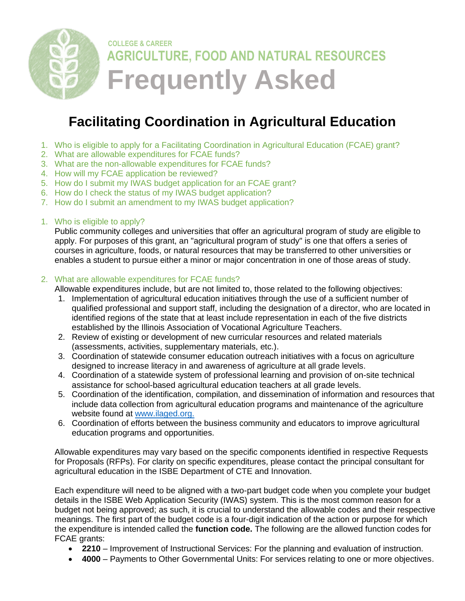

# **Facilitating Coordination in Agricultural Education**

- <span id="page-0-2"></span>1. Who is eligible to apply [for a Facilitating Coordination in Agricultural](#page-0-0) Education (FCAE) grant?
- [2. What are allowable expenditures for FCAE funds?](#page-0-1)
- [3. What are the non-allowable expenditures for FCAE funds?](#page-1-0)
- [4. How will my FCAE application be reviewed?](#page-2-0)
- 5. [How do I submit my IWAS budget application for an FCAE](#page-3-0) grant?
- [6. How do I check the status of my IWAS budget application?](#page-3-1)
- [7. How do I submit an amendment to my IWAS budget application?](#page-3-2)
- <span id="page-0-0"></span>1. [Who is eligible to apply?](#page-0-2)

Public community colleges and universities that offer an agricultural program of study are eligible to apply. For purposes of this grant, an "agricultural program of study" is one that offers a series of courses in agriculture, foods, or natural resources that may be transferred to other universities or enables a student to pursue either a minor or major concentration in one of those areas of study.

#### <span id="page-0-1"></span>2. [What are allowable expenditures for FCAE](#page-0-2) funds?

Allowable expenditures include, but are not limited to, those related to the following objectives:

- 1. Implementation of agricultural education initiatives through the use of a sufficient number of qualified professional and support staff, including the designation of a director, who are located in identified regions of the state that at least include representation in each of the five districts established by the Illinois Association of Vocational Agriculture Teachers.
- 2. Review of existing or development of new curricular resources and related materials (assessments, activities, supplementary materials, etc.).
- 3. Coordination of statewide consumer education outreach initiatives with a focus on agriculture designed to increase literacy in and awareness of agriculture at all grade levels.
- 4. Coordination of a statewide system of professional learning and provision of on-site technical assistance for school-based agricultural education teachers at all grade levels.
- 5. Coordination of the identification, compilation, and dissemination of information and resources that include data collection from agricultural education programs and maintenance of the agriculture website found at [www.ilaged.org.](http://www.ilaged.org/)
- 6. Coordination of efforts between the business community and educators to improve agricultural education programs and opportunities.

Allowable expenditures may vary based on the specific components identified in respective Requests for Proposals (RFPs). For clarity on specific expenditures, please contact the principal consultant for agricultural education in the ISBE Department of CTE and Innovation.

Each expenditure will need to be aligned with a two-part budget code when you complete your budget details in the ISBE Web Application Security (IWAS) system. This is the most common reason for a budget not being approved; as such, it is crucial to understand the allowable codes and their respective meanings. The first part of the budget code is a four-digit indication of the action or purpose for which the expenditure is intended called the **function code.** The following are the allowed function codes for FCAE grants:

- **2210**  Improvement of Instructional Services: For the planning and evaluation of instruction.
- **4000**  Payments to Other Governmental Units: For services relating to one or more objectives.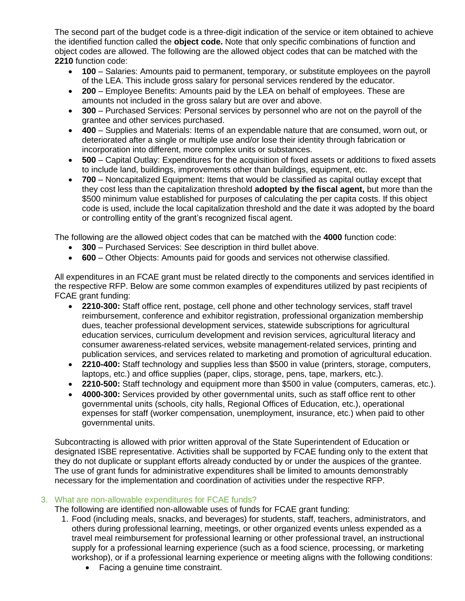The second part of the budget code is a three-digit indication of the service or item obtained to achieve the identified function called the **object code.** Note that only specific combinations of function and object codes are allowed. The following are the allowed object codes that can be matched with the **2210** function code:

- **100**  Salaries: Amounts paid to permanent, temporary, or substitute employees on the payroll of the LEA. This include gross salary for personal services rendered by the educator.
- **200** Employee Benefits: Amounts paid by the LEA on behalf of employees. These are amounts not included in the gross salary but are over and above.
- **300** Purchased Services: Personal services by personnel who are not on the payroll of the grantee and other services purchased.
- **400** Supplies and Materials: Items of an expendable nature that are consumed, worn out, or deteriorated after a single or multiple use and/or lose their identity through fabrication or incorporation into different, more complex units or substances.
- **500** Capital Outlay: Expenditures for the acquisition of fixed assets or additions to fixed assets to include land, buildings, improvements other than buildings, equipment, etc.
- **700** Noncapitalized Equipment: Items that would be classified as capital outlay except that they cost less than the capitalization threshold **adopted by the fiscal agent,** but more than the \$500 minimum value established for purposes of calculating the per capita costs. If this object code is used, include the local capitalization threshold and the date it was adopted by the board or controlling entity of the grant's recognized fiscal agent.

The following are the allowed object codes that can be matched with the **4000** function code:

- **300** Purchased Services: See description in third bullet above.
- **600** Other Objects: Amounts paid for goods and services not otherwise classified.

All expenditures in an FCAE grant must be related directly to the components and services identified in the respective RFP. Below are some common examples of expenditures utilized by past recipients of FCAE grant funding:

- **2210-300:** Staff office rent, postage, cell phone and other technology services, staff travel reimbursement, conference and exhibitor registration, professional organization membership dues, teacher professional development services, statewide subscriptions for agricultural education services, curriculum development and revision services, agricultural literacy and consumer awareness-related services, website management-related services, printing and publication services, and services related to marketing and promotion of agricultural education.
- **2210-400:** Staff technology and supplies less than \$500 in value (printers, storage, computers, laptops, etc.) and office supplies (paper, clips, storage, pens, tape, markers, etc.).
- **2210-500:** Staff technology and equipment more than \$500 in value (computers, cameras, etc.).
- **4000-300:** Services provided by other governmental units, such as staff office rent to other governmental units (schools, city halls, Regional Offices of Education, etc.), operational expenses for staff (worker compensation, unemployment, insurance, etc.) when paid to other governmental units.

Subcontracting is allowed with prior written approval of the State Superintendent of Education or designated ISBE representative. Activities shall be supported by FCAE funding only to the extent that they do not duplicate or supplant efforts already conducted by or under the auspices of the grantee. The use of grant funds for administrative expenditures shall be limited to amounts demonstrably necessary for the implementation and coordination of activities under the respective RFP.

### <span id="page-1-0"></span>3. [What are non-allowable expenditures for FCAE funds?](#page-0-2)

The following are identified non-allowable uses of funds for FCAE grant funding:

- 1. Food (including meals, snacks, and beverages) for students, staff, teachers, administrators, and others during professional learning, meetings, or other organized events unless expended as a travel meal reimbursement for professional learning or other professional travel, an instructional supply for a professional learning experience (such as a food science, processing, or marketing workshop), or if a professional learning experience or meeting aligns with the following conditions:
	- Facing a genuine time constraint.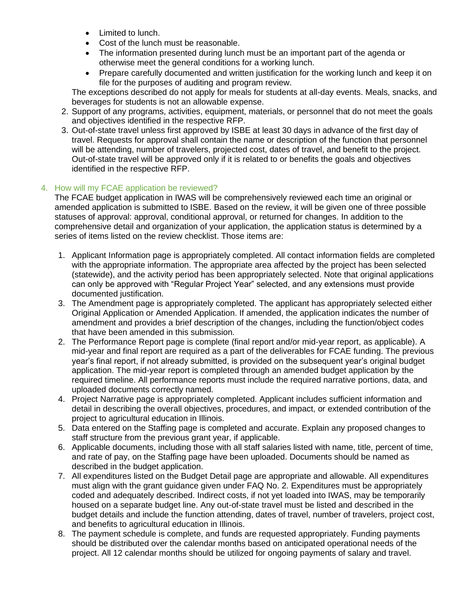- Limited to lunch.
- Cost of the lunch must be reasonable.
- The information presented during lunch must be an important part of the agenda or otherwise meet the general conditions for a working lunch.
- Prepare carefully documented and written justification for the working lunch and keep it on file for the purposes of auditing and program review.

The exceptions described do not apply for meals for students at all-day events. Meals, snacks, and beverages for students is not an allowable expense.

- 2. Support of any programs, activities, equipment, materials, or personnel that do not meet the goals and objectives identified in the respective RFP.
- 3. Out-of-state travel unless first approved by ISBE at least 30 days in advance of the first day of travel. Requests for approval shall contain the name or description of the function that personnel will be attending, number of travelers, projected cost, dates of travel, and benefit to the project. Out-of-state travel will be approved only if it is related to or benefits the goals and objectives identified in the respective RFP.

# <span id="page-2-0"></span>4. How will my FCAE [application be reviewed?](#page-0-2)

The FCAE budget application in IWAS will be comprehensively reviewed each time an original or amended application is submitted to ISBE. Based on the review, it will be given one of three possible statuses of approval: approval, conditional approval, or returned for changes. In addition to the comprehensive detail and organization of your application, the application status is determined by a series of items listed on the review checklist. Those items are:

- 1. Applicant Information page is appropriately completed. All contact information fields are completed with the appropriate information. The appropriate area affected by the project has been selected (statewide), and the activity period has been appropriately selected. Note that original applications can only be approved with "Regular Project Year" selected, and any extensions must provide documented iustification.
- 3. The Amendment page is appropriately completed. The applicant has appropriately selected either Original Application or Amended Application. If amended, the application indicates the number of amendment and provides a brief description of the changes, including the function/object codes that have been amended in this submission.
- 2. The Performance Report page is complete (final report and/or mid-year report, as applicable). A mid-year and final report are required as a part of the deliverables for FCAE funding. The previous year's final report, if not already submitted, is provided on the subsequent year's original budget application. The mid-year report is completed through an amended budget application by the required timeline. All performance reports must include the required narrative portions, data, and uploaded documents correctly named.
- 4. Project Narrative page is appropriately completed. Applicant includes sufficient information and detail in describing the overall objectives, procedures, and impact, or extended contribution of the project to agricultural education in Illinois.
- 5. Data entered on the Staffing page is completed and accurate. Explain any proposed changes to staff structure from the previous grant year, if applicable.
- 6. Applicable documents, including those with all staff salaries listed with name, title, percent of time, and rate of pay, on the Staffing page have been uploaded. Documents should be named as described in the budget application.
- 7. All expenditures listed on the Budget Detail page are appropriate and allowable. All expenditures must align with the grant guidance given under FAQ No. 2. Expenditures must be appropriately coded and adequately described. Indirect costs, if not yet loaded into IWAS, may be temporarily housed on a separate budget line. Any out-of-state travel must be listed and described in the budget details and include the function attending, dates of travel, number of travelers, project cost, and benefits to agricultural education in Illinois.
- 8. The payment schedule is complete, and funds are requested appropriately. Funding payments should be distributed over the calendar months based on anticipated operational needs of the project. All 12 calendar months should be utilized for ongoing payments of salary and travel.